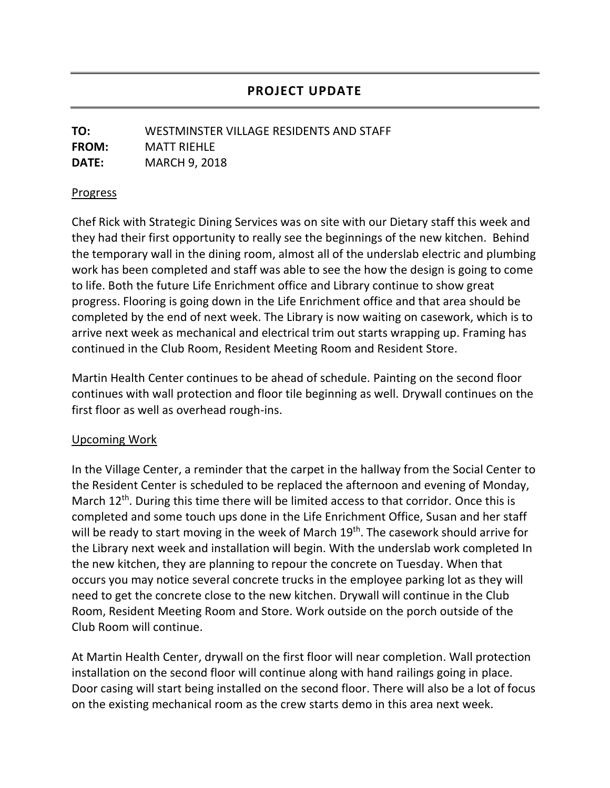## **PROJECT UPDATE**

## **TO:** WESTMINSTER VILLAGE RESIDENTS AND STAFF **FROM:** MATT RIEHLE **DATE:** MARCH 9, 2018

## Progress

Chef Rick with Strategic Dining Services was on site with our Dietary staff this week and they had their first opportunity to really see the beginnings of the new kitchen. Behind the temporary wall in the dining room, almost all of the underslab electric and plumbing work has been completed and staff was able to see the how the design is going to come to life. Both the future Life Enrichment office and Library continue to show great progress. Flooring is going down in the Life Enrichment office and that area should be completed by the end of next week. The Library is now waiting on casework, which is to arrive next week as mechanical and electrical trim out starts wrapping up. Framing has continued in the Club Room, Resident Meeting Room and Resident Store.

Martin Health Center continues to be ahead of schedule. Painting on the second floor continues with wall protection and floor tile beginning as well. Drywall continues on the first floor as well as overhead rough-ins.

## Upcoming Work

In the Village Center, a reminder that the carpet in the hallway from the Social Center to the Resident Center is scheduled to be replaced the afternoon and evening of Monday, March 12<sup>th</sup>. During this time there will be limited access to that corridor. Once this is completed and some touch ups done in the Life Enrichment Office, Susan and her staff will be ready to start moving in the week of March 19<sup>th</sup>. The casework should arrive for the Library next week and installation will begin. With the underslab work completed In the new kitchen, they are planning to repour the concrete on Tuesday. When that occurs you may notice several concrete trucks in the employee parking lot as they will need to get the concrete close to the new kitchen. Drywall will continue in the Club Room, Resident Meeting Room and Store. Work outside on the porch outside of the Club Room will continue.

At Martin Health Center, drywall on the first floor will near completion. Wall protection installation on the second floor will continue along with hand railings going in place. Door casing will start being installed on the second floor. There will also be a lot of focus on the existing mechanical room as the crew starts demo in this area next week.